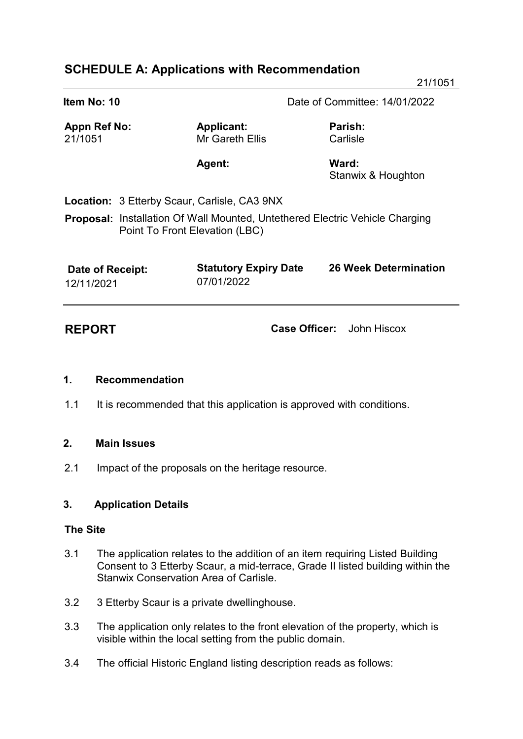# **SCHEDULE A: Applications with Recommendation**

| Item No: 10                                                                                                           |                                            | Date of Committee: 14/01/2022 |
|-----------------------------------------------------------------------------------------------------------------------|--------------------------------------------|-------------------------------|
| Appn Ref No:<br>21/1051                                                                                               | <b>Applicant:</b><br>Mr Gareth Ellis       | Parish:<br>Carlisle           |
|                                                                                                                       | <b>Agent:</b>                              | Ward:<br>Stanwix & Houghton   |
| Location: 3 Etterby Scaur, Carlisle, CA3 9NX                                                                          |                                            |                               |
| <b>Proposal:</b> Installation Of Wall Mounted, Untethered Electric Vehicle Charging<br>Point To Front Elevation (LBC) |                                            |                               |
| Date of Receipt:<br>12/11/2021                                                                                        | <b>Statutory Expiry Date</b><br>07/01/2022 | <b>26 Week Determination</b>  |

**REPORT Case Officer:** John Hiscox

# **1. Recommendation**

1.1 It is recommended that this application is approved with conditions.

# **2. Main Issues**

2.1 Impact of the proposals on the heritage resource.

#### **3. Application Details**

#### **The Site**

- 3.1 The application relates to the addition of an item requiring Listed Building Consent to 3 Etterby Scaur, a mid-terrace, Grade II listed building within the Stanwix Conservation Area of Carlisle.
- 3.2 3 Etterby Scaur is a private dwellinghouse.
- 3.3 The application only relates to the front elevation of the property, which is visible within the local setting from the public domain.
- 3.4 The official Historic England listing description reads as follows: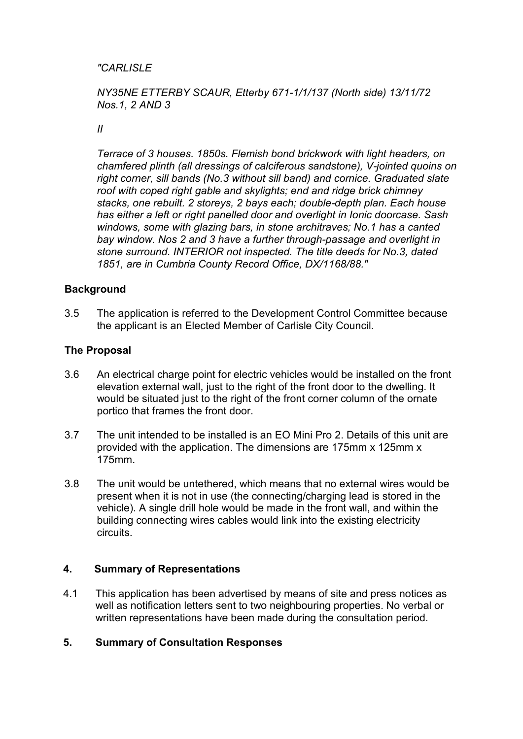### *"CARLISLE*

### *NY35NE ETTERBY SCAUR, Etterby 671-1/1/137 (North side) 13/11/72 Nos.1, 2 AND 3*

#### *II*

 *Terrace of 3 houses. 1850s. Flemish bond brickwork with light headers, on chamfered plinth (all dressings of calciferous sandstone), V-jointed quoins on right corner, sill bands (No.3 without sill band) and cornice. Graduated slate roof with coped right gable and skylights; end and ridge brick chimney stacks, one rebuilt. 2 storeys, 2 bays each; double-depth plan. Each house has either a left or right panelled door and overlight in Ionic doorcase. Sash windows, some with glazing bars, in stone architraves; No.1 has a canted bay window. Nos 2 and 3 have a further through-passage and overlight in stone surround. INTERIOR not inspected. The title deeds for No.3, dated 1851, are in Cumbria County Record Office, DX/1168/88."*

#### **Background**

3.5 The application is referred to the Development Control Committee because the applicant is an Elected Member of Carlisle City Council.

#### **The Proposal**

- 3.6 An electrical charge point for electric vehicles would be installed on the front elevation external wall, just to the right of the front door to the dwelling. It would be situated just to the right of the front corner column of the ornate portico that frames the front door.
- 3.7 The unit intended to be installed is an EO Mini Pro 2. Details of this unit are provided with the application. The dimensions are 175mm x 125mm x 175mm.
- 3.8 The unit would be untethered, which means that no external wires would be present when it is not in use (the connecting/charging lead is stored in the vehicle). A single drill hole would be made in the front wall, and within the building connecting wires cables would link into the existing electricity circuits.

#### **4. Summary of Representations**

4.1 This application has been advertised by means of site and press notices as well as notification letters sent to two neighbouring properties. No verbal or written representations have been made during the consultation period.

#### **5. Summary of Consultation Responses**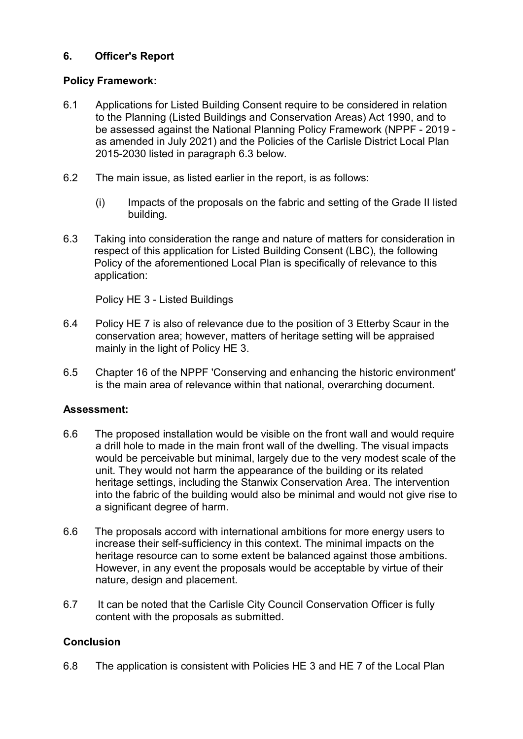# **6. Officer's Report**

# **Policy Framework:**

- 6.1 Applications for Listed Building Consent require to be considered in relation to the Planning (Listed Buildings and Conservation Areas) Act 1990, and to be assessed against the National Planning Policy Framework (NPPF - 2019 as amended in July 2021) and the Policies of the Carlisle District Local Plan 2015-2030 listed in paragraph 6.3 below.
- 6.2 The main issue, as listed earlier in the report, is as follows:
	- (i) Impacts of the proposals on the fabric and setting of the Grade II listed building.
- 6.3 Taking into consideration the range and nature of matters for consideration in respect of this application for Listed Building Consent (LBC), the following Policy of the aforementioned Local Plan is specifically of relevance to this application:

Policy HE 3 - Listed Buildings

- 6.4 Policy HE 7 is also of relevance due to the position of 3 Etterby Scaur in the conservation area; however, matters of heritage setting will be appraised mainly in the light of Policy HE 3.
- 6.5 Chapter 16 of the NPPF 'Conserving and enhancing the historic environment' is the main area of relevance within that national, overarching document.

# **Assessment:**

- 6.6 The proposed installation would be visible on the front wall and would require a drill hole to made in the main front wall of the dwelling. The visual impacts would be perceivable but minimal, largely due to the very modest scale of the unit. They would not harm the appearance of the building or its related heritage settings, including the Stanwix Conservation Area. The intervention into the fabric of the building would also be minimal and would not give rise to a significant degree of harm.
- 6.6 The proposals accord with international ambitions for more energy users to increase their self-sufficiency in this context. The minimal impacts on the heritage resource can to some extent be balanced against those ambitions. However, in any event the proposals would be acceptable by virtue of their nature, design and placement.
- 6.7 It can be noted that the Carlisle City Council Conservation Officer is fully content with the proposals as submitted.

# **Conclusion**

6.8 The application is consistent with Policies HE 3 and HE 7 of the Local Plan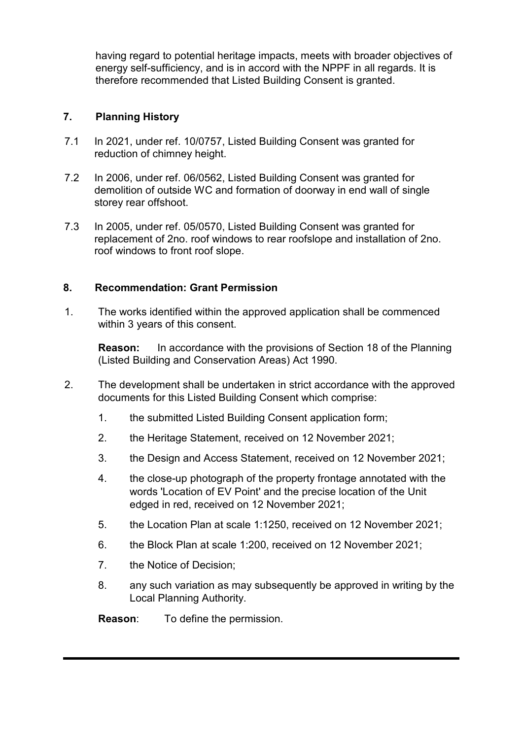having regard to potential heritage impacts, meets with broader objectives of energy self-sufficiency, and is in accord with the NPPF in all regards. It is therefore recommended that Listed Building Consent is granted.

### **7. Planning History**

- 7.1 In 2021, under ref. 10/0757, Listed Building Consent was granted for reduction of chimney height.
- 7.2 In 2006, under ref. 06/0562, Listed Building Consent was granted for demolition of outside WC and formation of doorway in end wall of single storey rear offshoot.
- 7.3 In 2005, under ref. 05/0570, Listed Building Consent was granted for replacement of 2no. roof windows to rear roofslope and installation of 2no. roof windows to front roof slope.

### **8. Recommendation: Grant Permission**

1. The works identified within the approved application shall be commenced within 3 years of this consent.

**Reason:** In accordance with the provisions of Section 18 of the Planning (Listed Building and Conservation Areas) Act 1990.

- 2. The development shall be undertaken in strict accordance with the approved documents for this Listed Building Consent which comprise:
	- 1. the submitted Listed Building Consent application form;
	- 2. the Heritage Statement, received on 12 November 2021;
	- 3. the Design and Access Statement, received on 12 November 2021;
	- 4. the close-up photograph of the property frontage annotated with the words 'Location of EV Point' and the precise location of the Unit edged in red, received on 12 November 2021;
	- 5. the Location Plan at scale 1:1250, received on 12 November 2021;
	- 6. the Block Plan at scale 1:200, received on 12 November 2021;
	- 7. the Notice of Decision;
	- 8. any such variation as may subsequently be approved in writing by the Local Planning Authority.

**Reason**: To define the permission.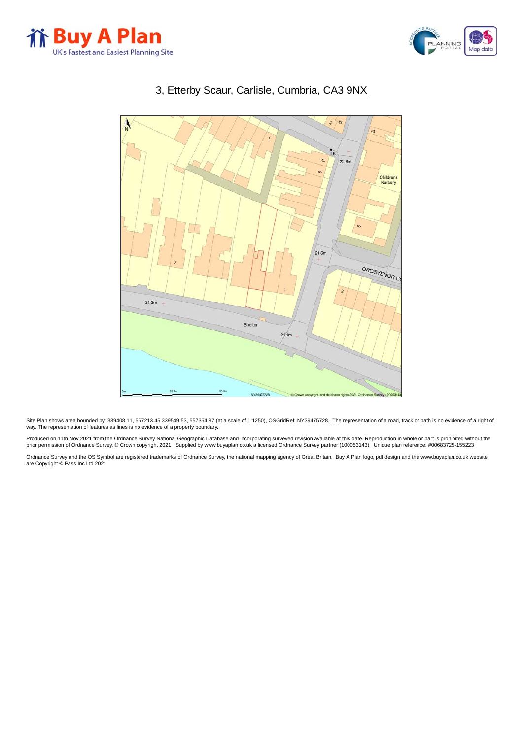



### 3, Etterby Scaur, Carlisle, Cumbria, CA3 9NX



Site Plan shows area bounded by: 339408.11, 557213.45 339549.53, 557354.87 (at a scale of 1:1250), OSGridRef: NY39475728. The representation of a road, track or path is no evidence of a right of<br>way. The representation of

Produced on 11th Nov 2021 from the Ordnance Survey National Geographic Database and incorporating surveyed revision available at this date. Reproduction in whole or part is prohibited without the<br>prior permission of Ordnan

Ordnance Survey and the OS Symbol are registered trademarks of Ordnance Survey, the national mapping agency of Great Britain. Buy A Plan logo, pdf design and the [www.buyaplan.co.uk](http://www.www.buyaplan.co.uk) website are Copyright © Pass Inc Ltd 2021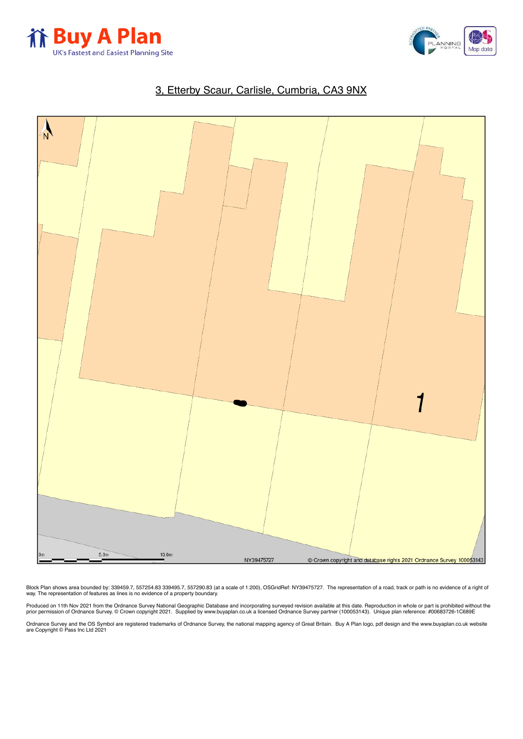



# 3, Etterby Scaur, Carlisle, Cumbria, CA3 9NX



Block Plan shows area bounded by: 339499.7, 557254.83 339495.7, 557290.83 (at a scale of 1:200), OSGridRef: NY39475727. The representation of a road, track or path is no evidence of a right of<br>way. The representation of fe

Produced on 11th Nov 2021 from the Ordnance Survey National Geographic Database and incorporating surveyed revision available at this date. Reproduction in whole or part is prohibited without the<br>prior permission of Ordnan

Ordnance Survey and the OS Symbol are registered trademarks of Ordnance Survey, the national mapping agency of Great Britain. Buy A Plan logo, pdf design and the [www.buyaplan.co.uk](http://www.www.buyaplan.co.uk) website are Copyright © Pass Inc Ltd 2021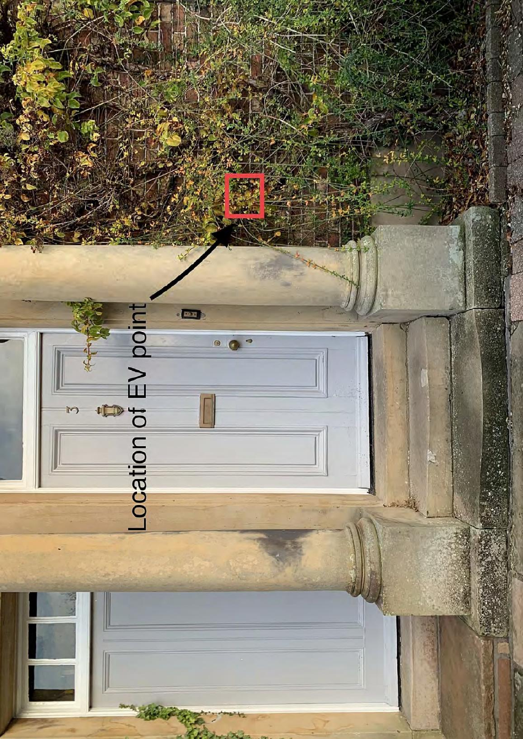